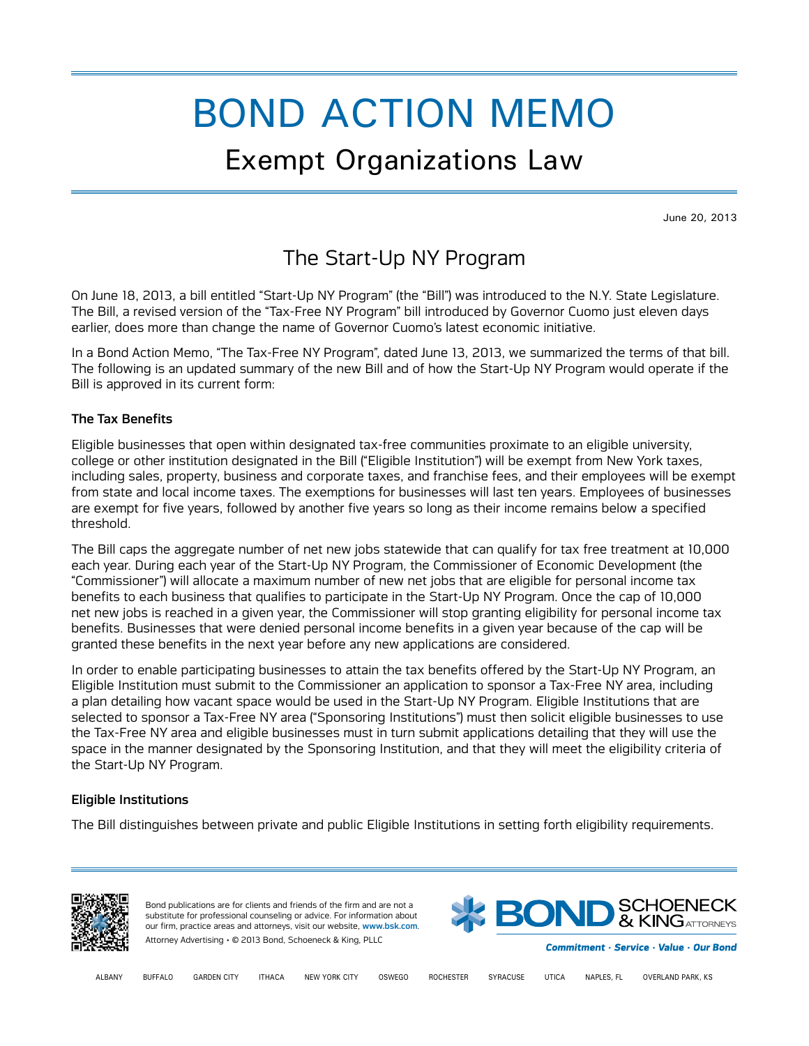# BOND ACTION MEMO

# Exempt Organizations Law

June 20, 2013

# The Start-Up NY Program

On June 18, 2013, a bill entitled "Start-Up NY Program" (the "Bill") was introduced to the N.Y. State Legislature. The Bill, a revised version of the "Tax-Free NY Program" bill introduced by Governor Cuomo just eleven days earlier, does more than change the name of Governor Cuomo's latest economic initiative.

In a Bond Action Memo, "The Tax-Free NY Program", dated June 13, 2013, we summarized the terms of that bill. The following is an updated summary of the new Bill and of how the Start-Up NY Program would operate if the Bill is approved in its current form:

## The Tax Benefits

Eligible businesses that open within designated tax-free communities proximate to an eligible university, college or other institution designated in the Bill ("Eligible Institution") will be exempt from New York taxes, including sales, property, business and corporate taxes, and franchise fees, and their employees will be exempt from state and local income taxes. The exemptions for businesses will last ten years. Employees of businesses are exempt for five years, followed by another five years so long as their income remains below a specified threshold.

The Bill caps the aggregate number of net new jobs statewide that can qualify for tax free treatment at 10,000 each year. During each year of the Start-Up NY Program, the Commissioner of Economic Development (the "Commissioner") will allocate a maximum number of new net jobs that are eligible for personal income tax benefits to each business that qualifies to participate in the Start-Up NY Program. Once the cap of 10,000 net new jobs is reached in a given year, the Commissioner will stop granting eligibility for personal income tax benefits. Businesses that were denied personal income benefits in a given year because of the cap will be granted these benefits in the next year before any new applications are considered.

In order to enable participating businesses to attain the tax benefits offered by the Start-Up NY Program, an Eligible Institution must submit to the Commissioner an application to sponsor a Tax-Free NY area, including a plan detailing how vacant space would be used in the Start-Up NY Program. Eligible Institutions that are selected to sponsor a Tax-Free NY area ("Sponsoring Institutions") must then solicit eligible businesses to use the Tax-Free NY area and eligible businesses must in turn submit applications detailing that they will use the space in the manner designated by the Sponsoring Institution, and that they will meet the eligibility criteria of the Start-Up NY Program.

## Eligible Institutions

The Bill distinguishes between private and public Eligible Institutions in setting forth eligibility requirements.



Bond publications are for clients and friends of the firm and are not a substitute for professional counseling or advice. For information about our firm, practice areas and attorneys, visit our website, [www.bsk.com](http://www.bsk.com/). Attorney Advertising • © 2013 Bond, Schoeneck & King, PLLC



Commitment · Service · Value · Our Bond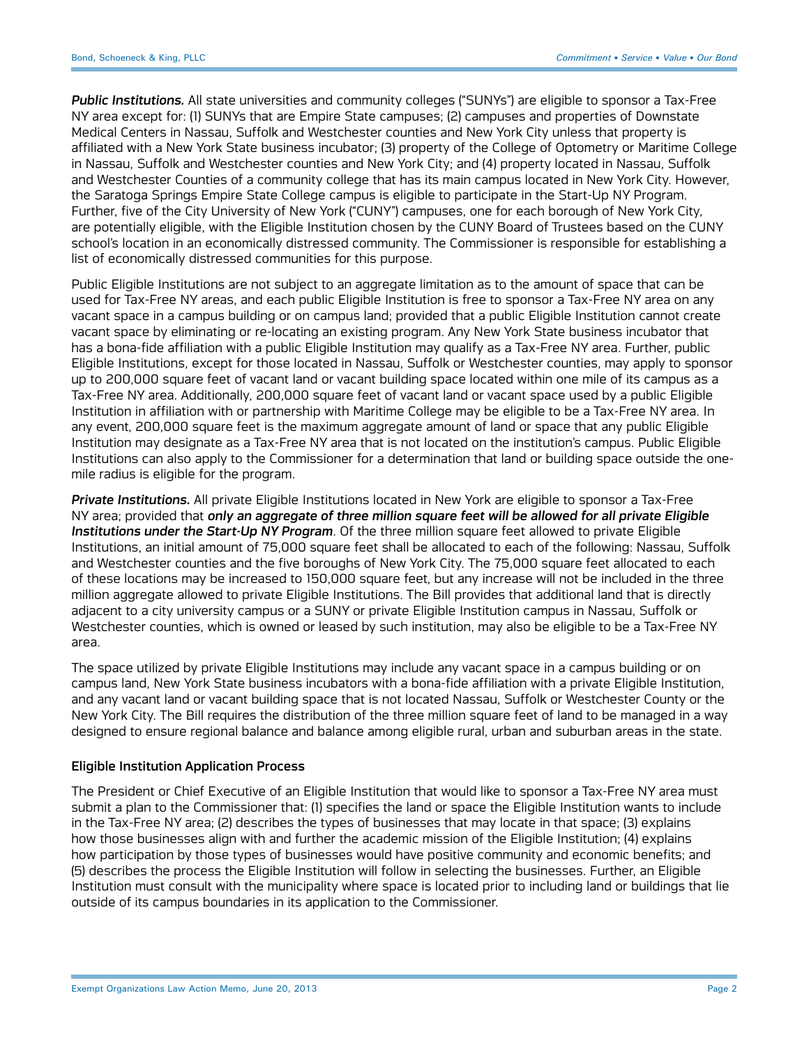*Public Institutions.* All state universities and community colleges ("SUNYs") are eligible to sponsor a Tax-Free NY area except for: (1) SUNYs that are Empire State campuses; (2) campuses and properties of Downstate Medical Centers in Nassau, Suffolk and Westchester counties and New York City unless that property is affiliated with a New York State business incubator; (3) property of the College of Optometry or Maritime College in Nassau, Suffolk and Westchester counties and New York City; and (4) property located in Nassau, Suffolk and Westchester Counties of a community college that has its main campus located in New York City. However, the Saratoga Springs Empire State College campus is eligible to participate in the Start-Up NY Program. Further, five of the City University of New York ("CUNY") campuses, one for each borough of New York City, are potentially eligible, with the Eligible Institution chosen by the CUNY Board of Trustees based on the CUNY school's location in an economically distressed community. The Commissioner is responsible for establishing a list of economically distressed communities for this purpose.

Public Eligible Institutions are not subject to an aggregate limitation as to the amount of space that can be used for Tax-Free NY areas, and each public Eligible Institution is free to sponsor a Tax-Free NY area on any vacant space in a campus building or on campus land; provided that a public Eligible Institution cannot create vacant space by eliminating or re-locating an existing program. Any New York State business incubator that has a bona-fide affiliation with a public Eligible Institution may qualify as a Tax-Free NY area. Further, public Eligible Institutions, except for those located in Nassau, Suffolk or Westchester counties, may apply to sponsor up to 200,000 square feet of vacant land or vacant building space located within one mile of its campus as a Tax-Free NY area. Additionally, 200,000 square feet of vacant land or vacant space used by a public Eligible Institution in affiliation with or partnership with Maritime College may be eligible to be a Tax-Free NY area. In any event, 200,000 square feet is the maximum aggregate amount of land or space that any public Eligible Institution may designate as a Tax-Free NY area that is not located on the institution's campus. Public Eligible Institutions can also apply to the Commissioner for a determination that land or building space outside the onemile radius is eligible for the program.

*Private Institutions.* All private Eligible Institutions located in New York are eligible to sponsor a Tax-Free NY area; provided that *only an aggregate of three million square feet will be allowed for all private Eligible Institutions under the Start-Up NY Program*. Of the three million square feet allowed to private Eligible Institutions, an initial amount of 75,000 square feet shall be allocated to each of the following: Nassau, Suffolk and Westchester counties and the five boroughs of New York City. The 75,000 square feet allocated to each of these locations may be increased to 150,000 square feet, but any increase will not be included in the three million aggregate allowed to private Eligible Institutions. The Bill provides that additional land that is directly adjacent to a city university campus or a SUNY or private Eligible Institution campus in Nassau, Suffolk or Westchester counties, which is owned or leased by such institution, may also be eligible to be a Tax-Free NY area.

The space utilized by private Eligible Institutions may include any vacant space in a campus building or on campus land, New York State business incubators with a bona-fide affiliation with a private Eligible Institution, and any vacant land or vacant building space that is not located Nassau, Suffolk or Westchester County or the New York City. The Bill requires the distribution of the three million square feet of land to be managed in a way designed to ensure regional balance and balance among eligible rural, urban and suburban areas in the state.

#### Eligible Institution Application Process

The President or Chief Executive of an Eligible Institution that would like to sponsor a Tax-Free NY area must submit a plan to the Commissioner that: (1) specifies the land or space the Eligible Institution wants to include in the Tax-Free NY area; (2) describes the types of businesses that may locate in that space; (3) explains how those businesses align with and further the academic mission of the Eligible Institution; (4) explains how participation by those types of businesses would have positive community and economic benefits; and (5) describes the process the Eligible Institution will follow in selecting the businesses. Further, an Eligible Institution must consult with the municipality where space is located prior to including land or buildings that lie outside of its campus boundaries in its application to the Commissioner.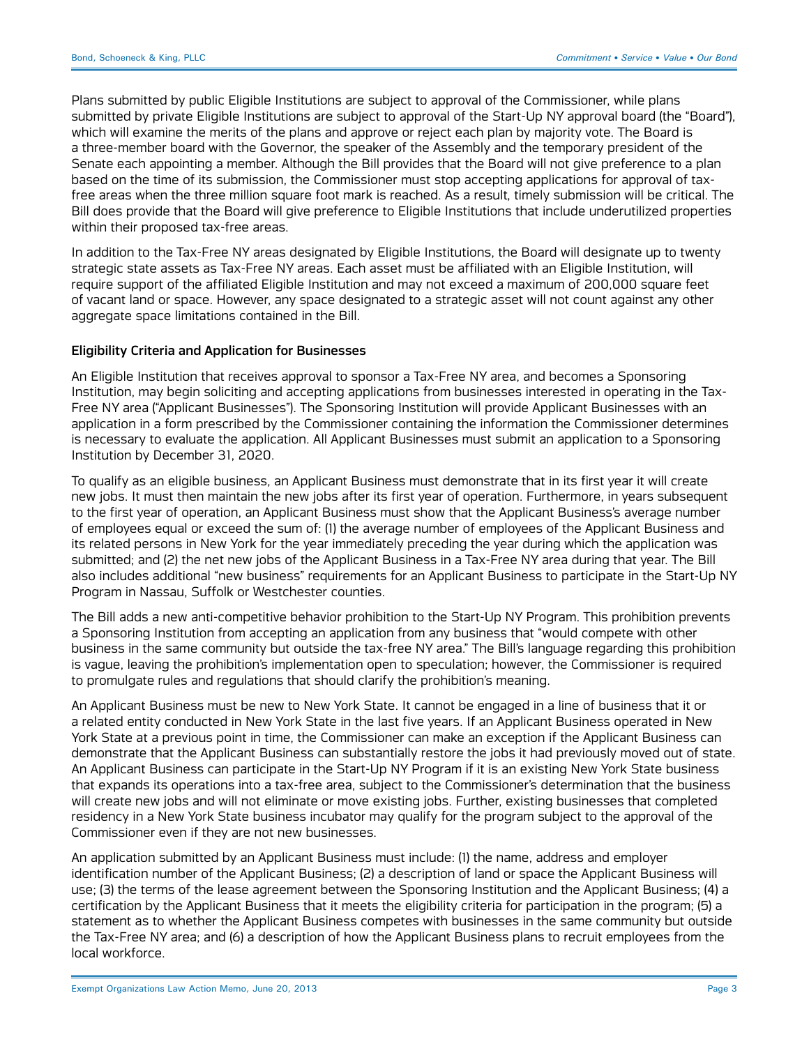Plans submitted by public Eligible Institutions are subject to approval of the Commissioner, while plans submitted by private Eligible Institutions are subject to approval of the Start-Up NY approval board (the "Board"), which will examine the merits of the plans and approve or reject each plan by majority vote. The Board is a three-member board with the Governor, the speaker of the Assembly and the temporary president of the Senate each appointing a member. Although the Bill provides that the Board will not give preference to a plan based on the time of its submission, the Commissioner must stop accepting applications for approval of taxfree areas when the three million square foot mark is reached. As a result, timely submission will be critical. The Bill does provide that the Board will give preference to Eligible Institutions that include underutilized properties within their proposed tax-free areas.

In addition to the Tax-Free NY areas designated by Eligible Institutions, the Board will designate up to twenty strategic state assets as Tax-Free NY areas. Each asset must be affiliated with an Eligible Institution, will require support of the affiliated Eligible Institution and may not exceed a maximum of 200,000 square feet of vacant land or space. However, any space designated to a strategic asset will not count against any other aggregate space limitations contained in the Bill.

#### Eligibility Criteria and Application for Businesses

An Eligible Institution that receives approval to sponsor a Tax-Free NY area, and becomes a Sponsoring Institution, may begin soliciting and accepting applications from businesses interested in operating in the Tax-Free NY area ("Applicant Businesses"). The Sponsoring Institution will provide Applicant Businesses with an application in a form prescribed by the Commissioner containing the information the Commissioner determines is necessary to evaluate the application. All Applicant Businesses must submit an application to a Sponsoring Institution by December 31, 2020.

To qualify as an eligible business, an Applicant Business must demonstrate that in its first year it will create new jobs. It must then maintain the new jobs after its first year of operation. Furthermore, in years subsequent to the first year of operation, an Applicant Business must show that the Applicant Business's average number of employees equal or exceed the sum of: (1) the average number of employees of the Applicant Business and its related persons in New York for the year immediately preceding the year during which the application was submitted; and (2) the net new jobs of the Applicant Business in a Tax-Free NY area during that year. The Bill also includes additional "new business" requirements for an Applicant Business to participate in the Start-Up NY Program in Nassau, Suffolk or Westchester counties.

The Bill adds a new anti-competitive behavior prohibition to the Start-Up NY Program. This prohibition prevents a Sponsoring Institution from accepting an application from any business that "would compete with other business in the same community but outside the tax-free NY area." The Bill's language regarding this prohibition is vague, leaving the prohibition's implementation open to speculation; however, the Commissioner is required to promulgate rules and regulations that should clarify the prohibition's meaning.

An Applicant Business must be new to New York State. It cannot be engaged in a line of business that it or a related entity conducted in New York State in the last five years. If an Applicant Business operated in New York State at a previous point in time, the Commissioner can make an exception if the Applicant Business can demonstrate that the Applicant Business can substantially restore the jobs it had previously moved out of state. An Applicant Business can participate in the Start-Up NY Program if it is an existing New York State business that expands its operations into a tax-free area, subject to the Commissioner's determination that the business will create new jobs and will not eliminate or move existing jobs. Further, existing businesses that completed residency in a New York State business incubator may qualify for the program subject to the approval of the Commissioner even if they are not new businesses.

An application submitted by an Applicant Business must include: (1) the name, address and employer identification number of the Applicant Business; (2) a description of land or space the Applicant Business will use; (3) the terms of the lease agreement between the Sponsoring Institution and the Applicant Business; (4) a certification by the Applicant Business that it meets the eligibility criteria for participation in the program; (5) a statement as to whether the Applicant Business competes with businesses in the same community but outside the Tax-Free NY area; and (6) a description of how the Applicant Business plans to recruit employees from the local workforce.